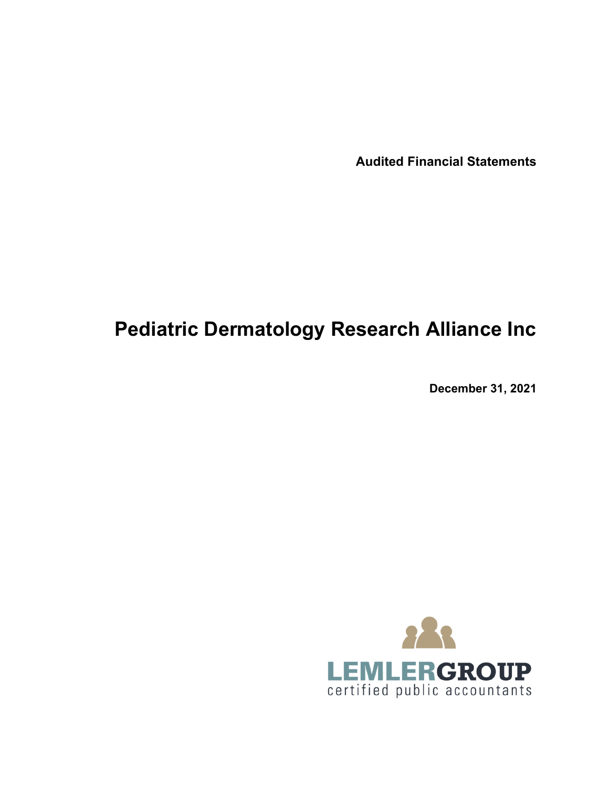**Audited Financial Statements**

# **Pediatric Dermatology Research Alliance Inc**

**December 31, 2021**

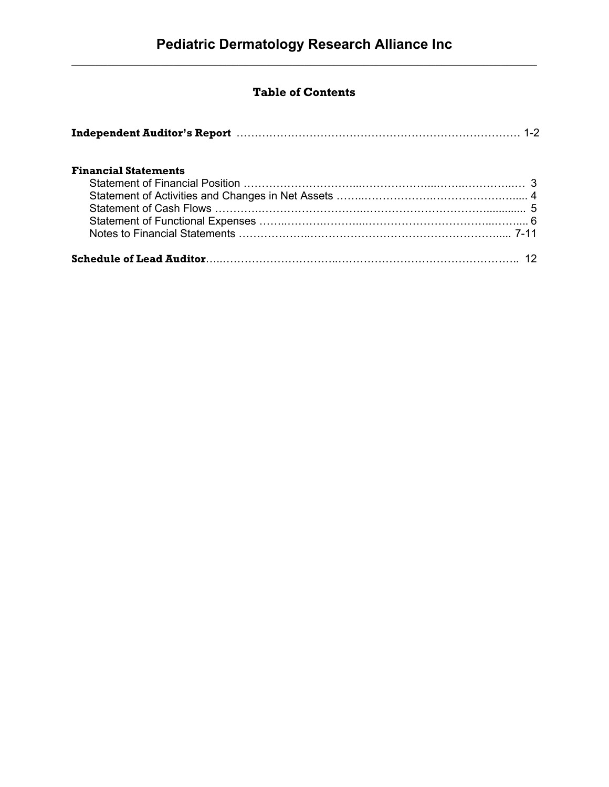# **Table of Contents**

| Independent Auditor's Report (1998) 1996 (1998) 1-2 |  |
|-----------------------------------------------------|--|
| <b>Financial Statements</b>                         |  |
|                                                     |  |
|                                                     |  |
|                                                     |  |
|                                                     |  |
|                                                     |  |
|                                                     |  |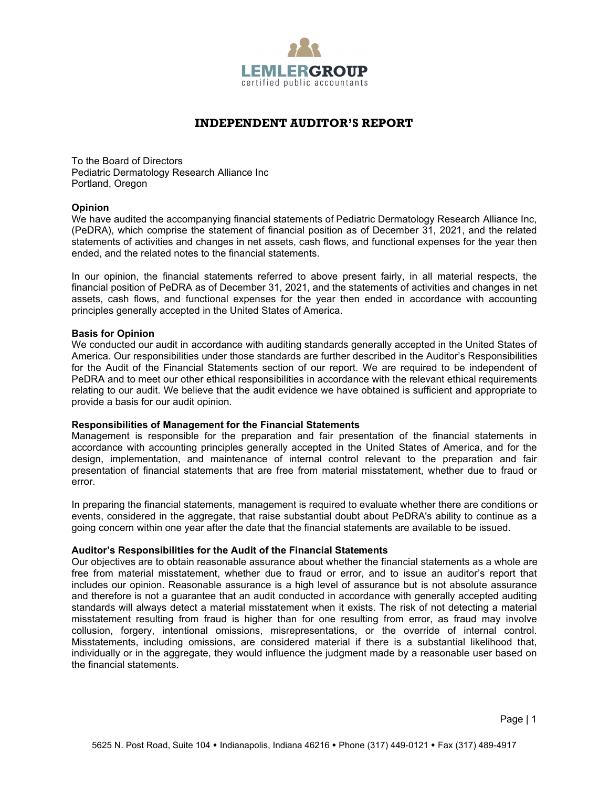

# **INDEPENDENT AUDITOR'S REPORT**

To the Board of Directors Pediatric Dermatology Research Alliance Inc Portland, Oregon

## **Opinion**

We have audited the accompanying financial statements of Pediatric Dermatology Research Alliance Inc, (PeDRA), which comprise the statement of financial position as of December 31, 2021, and the related statements of activities and changes in net assets, cash flows, and functional expenses for the year then ended, and the related notes to the financial statements.

In our opinion, the financial statements referred to above present fairly, in all material respects, the financial position of PeDRA as of December 31, 2021, and the statements of activities and changes in net assets, cash flows, and functional expenses for the year then ended in accordance with accounting principles generally accepted in the United States of America.

## **Basis for Opinion**

We conducted our audit in accordance with auditing standards generally accepted in the United States of America. Our responsibilities under those standards are further described in the Auditor's Responsibilities for the Audit of the Financial Statements section of our report. We are required to be independent of PeDRA and to meet our other ethical responsibilities in accordance with the relevant ethical requirements relating to our audit. We believe that the audit evidence we have obtained is sufficient and appropriate to provide a basis for our audit opinion.

#### **Responsibilities of Management for the Financial Statements**

Management is responsible for the preparation and fair presentation of the financial statements in accordance with accounting principles generally accepted in the United States of America, and for the design, implementation, and maintenance of internal control relevant to the preparation and fair presentation of financial statements that are free from material misstatement, whether due to fraud or error.

In preparing the financial statements, management is required to evaluate whether there are conditions or events, considered in the aggregate, that raise substantial doubt about PeDRA's ability to continue as a going concern within one year after the date that the financial statements are available to be issued.

# **Auditor's Responsibilities for the Audit of the Financial Statements**

Our objectives are to obtain reasonable assurance about whether the financial statements as a whole are free from material misstatement, whether due to fraud or error, and to issue an auditor's report that includes our opinion. Reasonable assurance is a high level of assurance but is not absolute assurance and therefore is not a guarantee that an audit conducted in accordance with generally accepted auditing standards will always detect a material misstatement when it exists. The risk of not detecting a material misstatement resulting from fraud is higher than for one resulting from error, as fraud may involve collusion, forgery, intentional omissions, misrepresentations, or the override of internal control. Misstatements, including omissions, are considered material if there is a substantial likelihood that, individually or in the aggregate, they would influence the judgment made by a reasonable user based on the financial statements.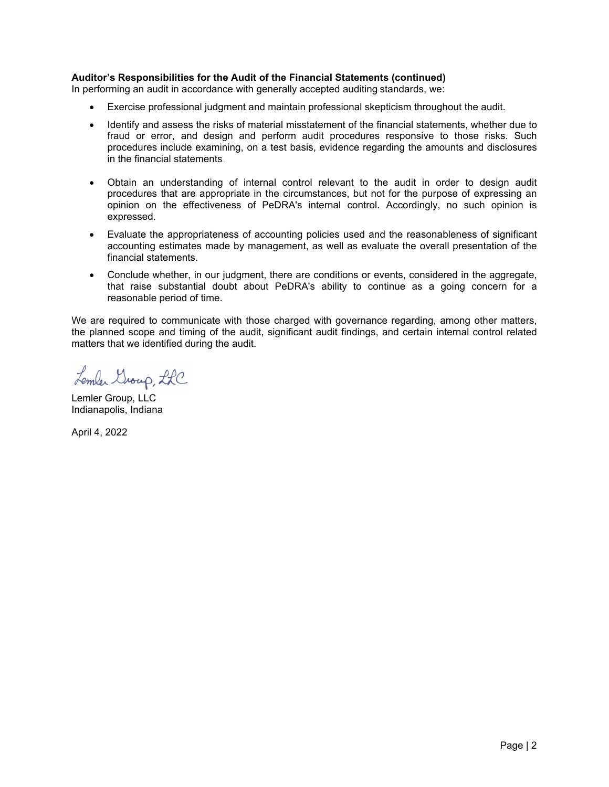# **Auditor's Responsibilities for the Audit of the Financial Statements (continued)**

In performing an audit in accordance with generally accepted auditing standards, we:

- Exercise professional judgment and maintain professional skepticism throughout the audit.
- Identify and assess the risks of material misstatement of the financial statements, whether due to fraud or error, and design and perform audit procedures responsive to those risks. Such procedures include examining, on a test basis, evidence regarding the amounts and disclosures in the financial statements.
- Obtain an understanding of internal control relevant to the audit in order to design audit procedures that are appropriate in the circumstances, but not for the purpose of expressing an opinion on the effectiveness of PeDRA's internal control. Accordingly, no such opinion is expressed.
- Evaluate the appropriateness of accounting policies used and the reasonableness of significant accounting estimates made by management, as well as evaluate the overall presentation of the financial statements.
- Conclude whether, in our judgment, there are conditions or events, considered in the aggregate, that raise substantial doubt about PeDRA's ability to continue as a going concern for a reasonable period of time.

We are required to communicate with those charged with governance regarding, among other matters, the planned scope and timing of the audit, significant audit findings, and certain internal control related matters that we identified during the audit.

Lember Group, LLC

Lemler Group, LLC Indianapolis, Indiana

April 4, 2022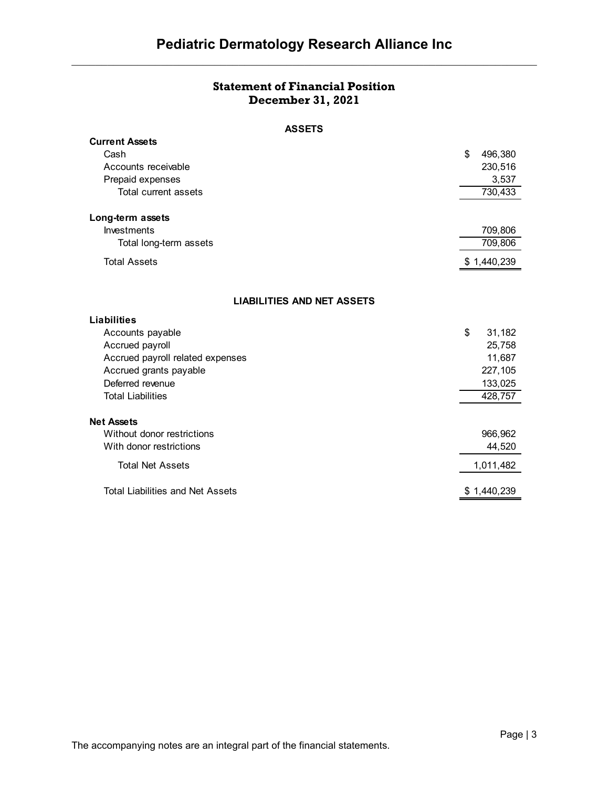# **Statement of Financial Position December 31, 2021**

# **ASSETS**

| <b>Current Assets</b>                   |               |
|-----------------------------------------|---------------|
| Cash                                    | \$<br>496,380 |
| Accounts receivable                     | 230,516       |
| Prepaid expenses                        | 3,537         |
| Total current assets                    | 730,433       |
|                                         |               |
| Long-term assets                        |               |
| <b>Investments</b>                      | 709,806       |
| Total long-term assets                  | 709,806       |
| <b>Total Assets</b>                     | \$1,440,239   |
|                                         |               |
| <b>LIABILITIES AND NET ASSETS</b>       |               |
| <b>Liabilities</b>                      |               |
| Accounts payable                        | \$<br>31,182  |
| Accrued payroll                         | 25,758        |
| Accrued payroll related expenses        | 11,687        |
| Accrued grants payable                  | 227,105       |
| Deferred revenue                        | 133,025       |
| <b>Total Liabilities</b>                | 428,757       |
|                                         |               |
| <b>Net Assets</b>                       |               |
| Without donor restrictions              | 966,962       |
| With donor restrictions                 | 44,520        |
| <b>Total Net Assets</b>                 | 1,011,482     |
| <b>Total Liabilities and Net Assets</b> | \$1,440,239   |
|                                         |               |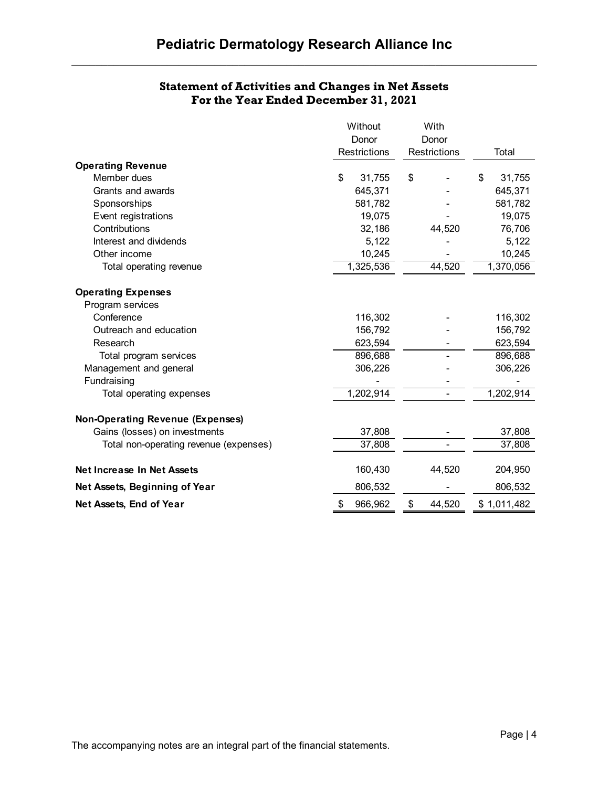| <b>Statement of Activities and Changes in Net Assets</b> |
|----------------------------------------------------------|
| For the Year Ended December 31, 2021                     |

|                                         | Without             |           | With                |        |              |
|-----------------------------------------|---------------------|-----------|---------------------|--------|--------------|
|                                         | Donor               |           | Donor               |        |              |
|                                         | <b>Restrictions</b> |           | <b>Restrictions</b> |        | Total        |
| <b>Operating Revenue</b>                |                     |           |                     |        |              |
| Member dues                             | \$                  | 31,755    | \$                  |        | \$<br>31,755 |
| Grants and awards                       |                     | 645,371   |                     |        | 645,371      |
| Sponsorships                            |                     | 581,782   |                     |        | 581,782      |
| Event registrations                     |                     | 19,075    |                     |        | 19,075       |
| Contributions                           |                     | 32,186    |                     | 44,520 | 76,706       |
| Interest and dividends                  |                     | 5,122     |                     |        | 5,122        |
| Other income                            |                     | 10,245    |                     |        | 10,245       |
| Total operating revenue                 |                     | 1,325,536 |                     | 44,520 | 1,370,056    |
| <b>Operating Expenses</b>               |                     |           |                     |        |              |
| Program services                        |                     |           |                     |        |              |
| Conference                              |                     | 116,302   |                     |        | 116,302      |
| Outreach and education                  |                     | 156,792   |                     |        | 156,792      |
| Research                                |                     | 623,594   |                     |        | 623,594      |
| Total program services                  |                     | 896,688   |                     |        | 896,688      |
| Management and general                  |                     | 306,226   |                     |        | 306,226      |
| Fundraising                             |                     |           |                     |        |              |
| Total operating expenses                |                     | 1,202,914 |                     | ٠      | 1,202,914    |
| <b>Non-Operating Revenue (Expenses)</b> |                     |           |                     |        |              |
| Gains (losses) on investments           |                     | 37,808    |                     |        | 37,808       |
| Total non-operating revenue (expenses)  |                     | 37,808    |                     |        | 37,808       |
| <b>Net Increase In Net Assets</b>       |                     | 160,430   |                     | 44,520 | 204,950      |
| Net Assets, Beginning of Year           |                     | 806,532   |                     |        | 806,532      |
| Net Assets, End of Year                 | \$                  | 966,962   | \$                  | 44,520 | \$1,011,482  |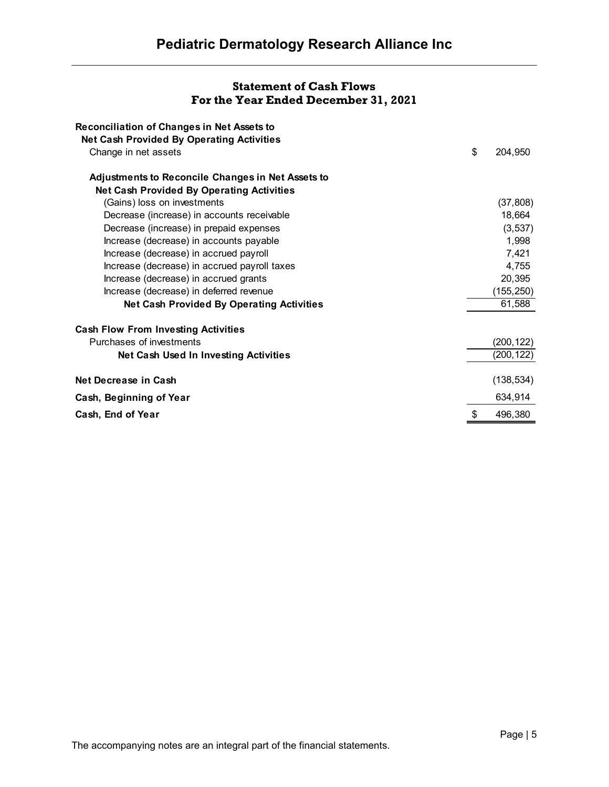# **Statement of Cash Flows For the Year Ended December 31, 2021**

| <b>Reconciliation of Changes in Net Assets to</b>        |               |
|----------------------------------------------------------|---------------|
| <b>Net Cash Provided By Operating Activities</b>         |               |
| Change in net assets                                     | \$<br>204,950 |
| <b>Adjustments to Reconcile Changes in Net Assets to</b> |               |
| <b>Net Cash Provided By Operating Activities</b>         |               |
| (Gains) loss on investments                              | (37, 808)     |
| Decrease (increase) in accounts receivable               | 18,664        |
| Decrease (increase) in prepaid expenses                  | (3, 537)      |
| Increase (decrease) in accounts payable                  | 1,998         |
| Increase (decrease) in accrued payroll                   | 7,421         |
| Increase (decrease) in accrued payroll taxes             | 4,755         |
| Increase (decrease) in accrued grants                    | 20,395        |
| Increase (decrease) in deferred revenue                  | (155, 250)    |
| <b>Net Cash Provided By Operating Activities</b>         | 61,588        |
| <b>Cash Flow From Investing Activities</b>               |               |
| Purchases of investments                                 | (200, 122)    |
| Net Cash Used In Investing Activities                    | (200,122)     |
| Net Decrease in Cash                                     | (138, 534)    |
| Cash, Beginning of Year                                  | 634,914       |
| Cash, End of Year                                        | 496,380       |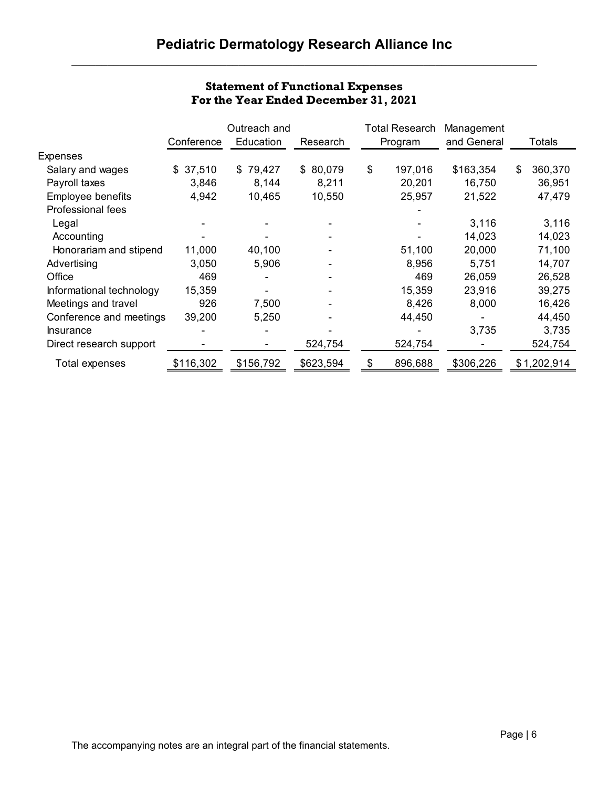|                          |            | Outreach and |                          | <b>Total Research</b> | Management  |               |
|--------------------------|------------|--------------|--------------------------|-----------------------|-------------|---------------|
|                          | Conference | Education    | Research                 | Program               | and General | Totals        |
| <b>Expenses</b>          |            |              |                          |                       |             |               |
| Salary and wages         | \$37,510   | 79,427<br>\$ | \$80,079                 | \$<br>197,016         | \$163,354   | \$<br>360,370 |
| Payroll taxes            | 3,846      | 8,144        | 8,211                    | 20,201                | 16,750      | 36,951        |
| Employee benefits        | 4,942      | 10,465       | 10,550                   | 25,957                | 21,522      | 47,479        |
| Professional fees        |            |              |                          |                       |             |               |
| Legal                    |            |              |                          |                       | 3,116       | 3,116         |
| Accounting               |            |              |                          |                       | 14,023      | 14,023        |
| Honorariam and stipend   | 11,000     | 40,100       |                          | 51,100                | 20,000      | 71,100        |
| Advertising              | 3,050      | 5,906        |                          | 8,956                 | 5,751       | 14,707        |
| Office                   | 469        |              |                          | 469                   | 26,059      | 26,528        |
| Informational technology | 15,359     |              | $\overline{\phantom{a}}$ | 15,359                | 23,916      | 39,275        |
| Meetings and travel      | 926        | 7,500        | $\overline{\phantom{0}}$ | 8,426                 | 8,000       | 16,426        |
| Conference and meetings  | 39,200     | 5,250        |                          | 44,450                |             | 44,450        |
| <b>Insurance</b>         |            |              |                          |                       | 3,735       | 3,735         |
| Direct research support  |            |              | 524,754                  | 524,754               |             | 524,754       |
| Total expenses           | \$116,302  | \$156,792    | \$623,594                | \$<br>896,688         | \$306,226   | \$1,202,914   |

# **Statement of Functional Expenses For the Year Ended December 31, 2021**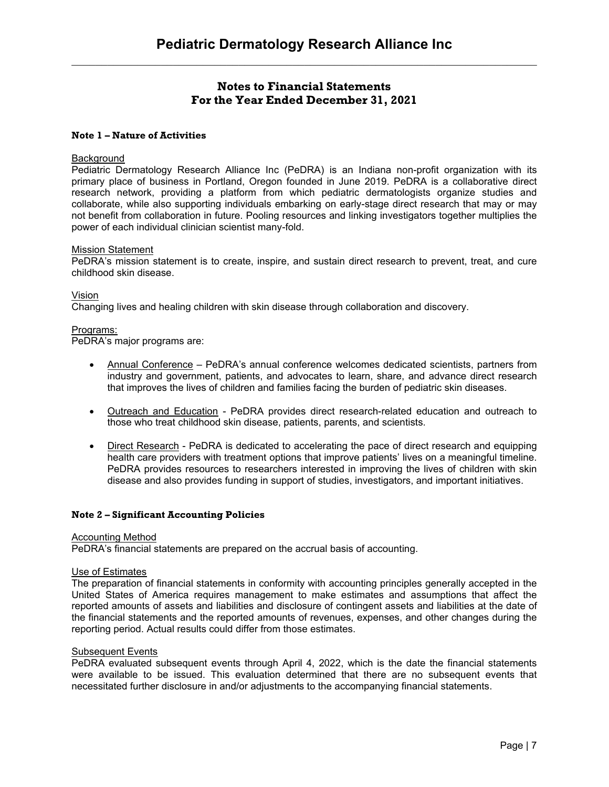# **Notes to Financial Statements For the Year Ended December 31, 2021**

# **Note 1 – Nature of Activities**

## **Background**

Pediatric Dermatology Research Alliance Inc (PeDRA) is an Indiana non-profit organization with its primary place of business in Portland, Oregon founded in June 2019. PeDRA is a collaborative direct research network, providing a platform from which pediatric dermatologists organize studies and collaborate, while also supporting individuals embarking on early-stage direct research that may or may not benefit from collaboration in future. Pooling resources and linking investigators together multiplies the power of each individual clinician scientist many-fold.

#### Mission Statement

PeDRA's mission statement is to create, inspire, and sustain direct research to prevent, treat, and cure childhood skin disease.

Vision

Changing lives and healing children with skin disease through collaboration and discovery.

## Programs:

PeDRA's major programs are:

- Annual Conference PeDRA's annual conference welcomes dedicated scientists, partners from industry and government, patients, and advocates to learn, share, and advance direct research that improves the lives of children and families facing the burden of pediatric skin diseases.
- Outreach and Education PeDRA provides direct research-related education and outreach to those who treat childhood skin disease, patients, parents, and scientists.
- Direct Research PeDRA is dedicated to accelerating the pace of direct research and equipping health care providers with treatment options that improve patients' lives on a meaningful timeline. PeDRA provides resources to researchers interested in improving the lives of children with skin disease and also provides funding in support of studies, investigators, and important initiatives.

#### **Note 2 – Significant Accounting Policies**

#### Accounting Method

PeDRA's financial statements are prepared on the accrual basis of accounting.

#### Use of Estimates

The preparation of financial statements in conformity with accounting principles generally accepted in the United States of America requires management to make estimates and assumptions that affect the reported amounts of assets and liabilities and disclosure of contingent assets and liabilities at the date of the financial statements and the reported amounts of revenues, expenses, and other changes during the reporting period. Actual results could differ from those estimates.

#### Subsequent Events

PeDRA evaluated subsequent events through April 4, 2022, which is the date the financial statements were available to be issued. This evaluation determined that there are no subsequent events that necessitated further disclosure in and/or adjustments to the accompanying financial statements.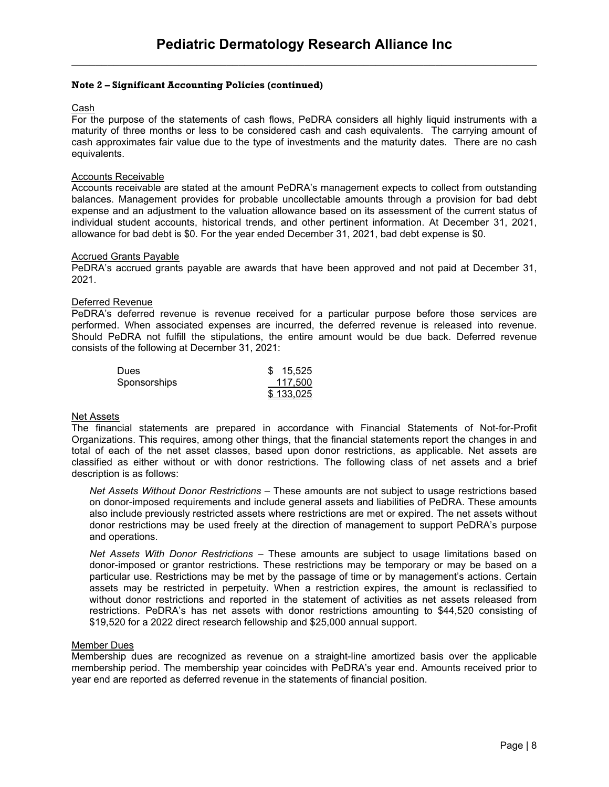# **Note 2 – Significant Accounting Policies (continued)**

# Cash

For the purpose of the statements of cash flows, PeDRA considers all highly liquid instruments with a maturity of three months or less to be considered cash and cash equivalents. The carrying amount of cash approximates fair value due to the type of investments and the maturity dates. There are no cash equivalents.

## Accounts Receivable

Accounts receivable are stated at the amount PeDRA's management expects to collect from outstanding balances. Management provides for probable uncollectable amounts through a provision for bad debt expense and an adjustment to the valuation allowance based on its assessment of the current status of individual student accounts, historical trends, and other pertinent information. At December 31, 2021, allowance for bad debt is \$0. For the year ended December 31, 2021, bad debt expense is \$0.

#### Accrued Grants Payable

PeDRA's accrued grants payable are awards that have been approved and not paid at December 31, 2021.

## Deferred Revenue

PeDRA's deferred revenue is revenue received for a particular purpose before those services are performed. When associated expenses are incurred, the deferred revenue is released into revenue. Should PeDRA not fulfill the stipulations, the entire amount would be due back. Deferred revenue consists of the following at December 31, 2021:

| <b>Dues</b>  | \$15,525  |
|--------------|-----------|
| Sponsorships | 117,500   |
|              | \$133,025 |

#### Net Assets

The financial statements are prepared in accordance with Financial Statements of Not-for-Profit Organizations. This requires, among other things, that the financial statements report the changes in and total of each of the net asset classes, based upon donor restrictions, as applicable. Net assets are classified as either without or with donor restrictions. The following class of net assets and a brief description is as follows:

*Net Assets Without Donor Restrictions* – These amounts are not subject to usage restrictions based on donor-imposed requirements and include general assets and liabilities of PeDRA. These amounts also include previously restricted assets where restrictions are met or expired. The net assets without donor restrictions may be used freely at the direction of management to support PeDRA's purpose and operations.

*Net Assets With Donor Restrictions* – These amounts are subject to usage limitations based on donor-imposed or grantor restrictions. These restrictions may be temporary or may be based on a particular use. Restrictions may be met by the passage of time or by management's actions. Certain assets may be restricted in perpetuity. When a restriction expires, the amount is reclassified to without donor restrictions and reported in the statement of activities as net assets released from restrictions. PeDRA's has net assets with donor restrictions amounting to \$44,520 consisting of \$19,520 for a 2022 direct research fellowship and \$25,000 annual support.

#### Member Dues

Membership dues are recognized as revenue on a straight-line amortized basis over the applicable membership period. The membership year coincides with PeDRA's year end. Amounts received prior to year end are reported as deferred revenue in the statements of financial position.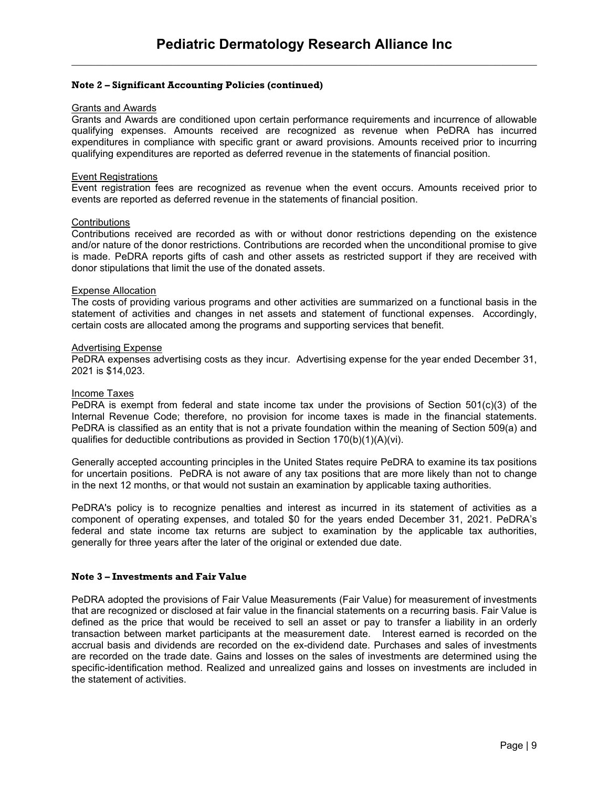# **Note 2 – Significant Accounting Policies (continued)**

#### Grants and Awards

Grants and Awards are conditioned upon certain performance requirements and incurrence of allowable qualifying expenses. Amounts received are recognized as revenue when PeDRA has incurred expenditures in compliance with specific grant or award provisions. Amounts received prior to incurring qualifying expenditures are reported as deferred revenue in the statements of financial position.

#### Event Registrations

Event registration fees are recognized as revenue when the event occurs. Amounts received prior to events are reported as deferred revenue in the statements of financial position.

#### **Contributions**

Contributions received are recorded as with or without donor restrictions depending on the existence and/or nature of the donor restrictions. Contributions are recorded when the unconditional promise to give is made. PeDRA reports gifts of cash and other assets as restricted support if they are received with donor stipulations that limit the use of the donated assets.

#### Expense Allocation

The costs of providing various programs and other activities are summarized on a functional basis in the statement of activities and changes in net assets and statement of functional expenses. Accordingly, certain costs are allocated among the programs and supporting services that benefit.

#### Advertising Expense

PeDRA expenses advertising costs as they incur. Advertising expense for the year ended December 31, 2021 is \$14,023.

#### Income Taxes

PeDRA is exempt from federal and state income tax under the provisions of Section 501(c)(3) of the Internal Revenue Code; therefore, no provision for income taxes is made in the financial statements. PeDRA is classified as an entity that is not a private foundation within the meaning of Section 509(a) and qualifies for deductible contributions as provided in Section 170(b)(1)(A)(vi).

Generally accepted accounting principles in the United States require PeDRA to examine its tax positions for uncertain positions. PeDRA is not aware of any tax positions that are more likely than not to change in the next 12 months, or that would not sustain an examination by applicable taxing authorities.

PeDRA's policy is to recognize penalties and interest as incurred in its statement of activities as a component of operating expenses, and totaled \$0 for the years ended December 31, 2021. PeDRA's federal and state income tax returns are subject to examination by the applicable tax authorities, generally for three years after the later of the original or extended due date.

#### **Note 3 – Investments and Fair Value**

PeDRA adopted the provisions of Fair Value Measurements (Fair Value) for measurement of investments that are recognized or disclosed at fair value in the financial statements on a recurring basis. Fair Value is defined as the price that would be received to sell an asset or pay to transfer a liability in an orderly transaction between market participants at the measurement date. Interest earned is recorded on the accrual basis and dividends are recorded on the ex-dividend date. Purchases and sales of investments are recorded on the trade date. Gains and losses on the sales of investments are determined using the specific-identification method. Realized and unrealized gains and losses on investments are included in the statement of activities.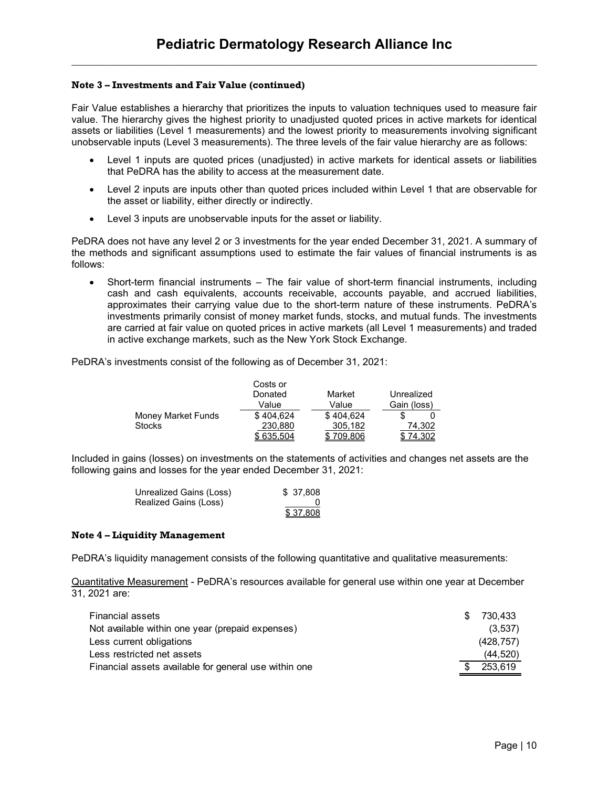# **Note 3 – Investments and Fair Value (continued)**

Fair Value establishes a hierarchy that prioritizes the inputs to valuation techniques used to measure fair value. The hierarchy gives the highest priority to unadjusted quoted prices in active markets for identical assets or liabilities (Level 1 measurements) and the lowest priority to measurements involving significant unobservable inputs (Level 3 measurements). The three levels of the fair value hierarchy are as follows:

- Level 1 inputs are quoted prices (unadjusted) in active markets for identical assets or liabilities that PeDRA has the ability to access at the measurement date.
- Level 2 inputs are inputs other than quoted prices included within Level 1 that are observable for the asset or liability, either directly or indirectly.
- Level 3 inputs are unobservable inputs for the asset or liability.

PeDRA does not have any level 2 or 3 investments for the year ended December 31, 2021. A summary of the methods and significant assumptions used to estimate the fair values of financial instruments is as follows:

 Short-term financial instruments – The fair value of short-term financial instruments, including cash and cash equivalents, accounts receivable, accounts payable, and accrued liabilities, approximates their carrying value due to the short-term nature of these instruments. PeDRA's investments primarily consist of money market funds, stocks, and mutual funds. The investments are carried at fair value on quoted prices in active markets (all Level 1 measurements) and traded in active exchange markets, such as the New York Stock Exchange.

PeDRA's investments consist of the following as of December 31, 2021:

|                    | Costs or<br>Donated | Market    | Unrealized  |
|--------------------|---------------------|-----------|-------------|
|                    |                     |           |             |
|                    | Value               | Value     | Gain (loss) |
| Money Market Funds | \$404.624           | \$404.624 |             |
| <b>Stocks</b>      | 230.880             | 305.182   | 74.302      |
|                    | \$635.504           | \$709.806 | 74.302      |

Included in gains (losses) on investments on the statements of activities and changes net assets are the following gains and losses for the year ended December 31, 2021:

| Unrealized Gains (Loss) | \$37,808 |
|-------------------------|----------|
| Realized Gains (Loss)   |          |
|                         | \$37,808 |

# **Note 4 – Liquidity Management**

PeDRA's liquidity management consists of the following quantitative and qualitative measurements:

Quantitative Measurement - PeDRA's resources available for general use within one year at December 31, 2021 are:

| <b>Financial assets</b>                               | \$ 730,433 |
|-------------------------------------------------------|------------|
| Not available within one year (prepaid expenses)      | (3,537)    |
| Less current obligations                              | (428, 757) |
| Less restricted net assets                            | (44, 520)  |
| Financial assets available for general use within one | \$253,619  |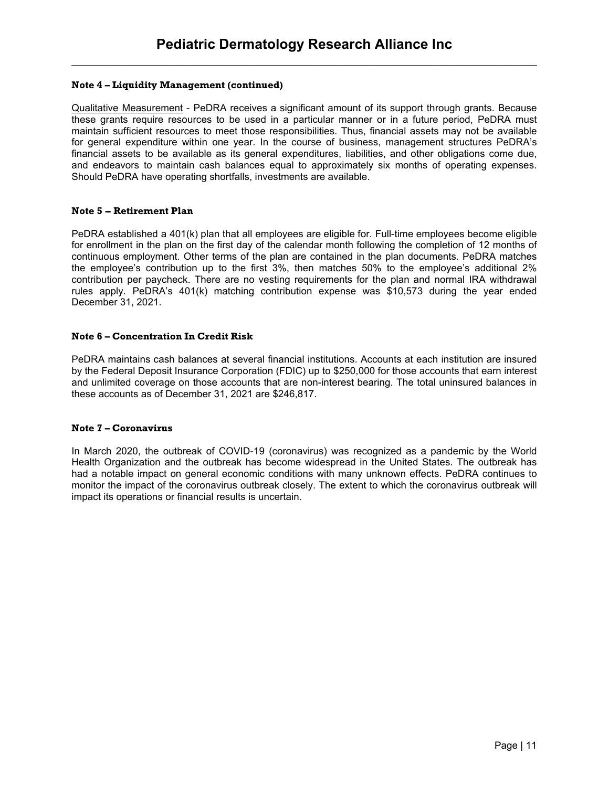# **Note 4 – Liquidity Management (continued)**

Qualitative Measurement - PeDRA receives a significant amount of its support through grants. Because these grants require resources to be used in a particular manner or in a future period, PeDRA must maintain sufficient resources to meet those responsibilities. Thus, financial assets may not be available for general expenditure within one year. In the course of business, management structures PeDRA's financial assets to be available as its general expenditures, liabilities, and other obligations come due, and endeavors to maintain cash balances equal to approximately six months of operating expenses. Should PeDRA have operating shortfalls, investments are available.

# **Note 5 -- Retirement Plan**

PeDRA established a 401(k) plan that all employees are eligible for. Full-time employees become eligible for enrollment in the plan on the first day of the calendar month following the completion of 12 months of continuous employment. Other terms of the plan are contained in the plan documents. PeDRA matches the employee's contribution up to the first 3%, then matches 50% to the employee's additional 2% contribution per paycheck. There are no vesting requirements for the plan and normal IRA withdrawal rules apply. PeDRA's 401(k) matching contribution expense was \$10,573 during the year ended December 31, 2021.

# **Note 6 – Concentration In Credit Risk**

PeDRA maintains cash balances at several financial institutions. Accounts at each institution are insured by the Federal Deposit Insurance Corporation (FDIC) up to \$250,000 for those accounts that earn interest and unlimited coverage on those accounts that are non-interest bearing. The total uninsured balances in these accounts as of December 31, 2021 are \$246,817.

# **Note 7 – Coronavirus**

In March 2020, the outbreak of COVID-19 (coronavirus) was recognized as a pandemic by the World Health Organization and the outbreak has become widespread in the United States. The outbreak has had a notable impact on general economic conditions with many unknown effects. PeDRA continues to monitor the impact of the coronavirus outbreak closely. The extent to which the coronavirus outbreak will impact its operations or financial results is uncertain.